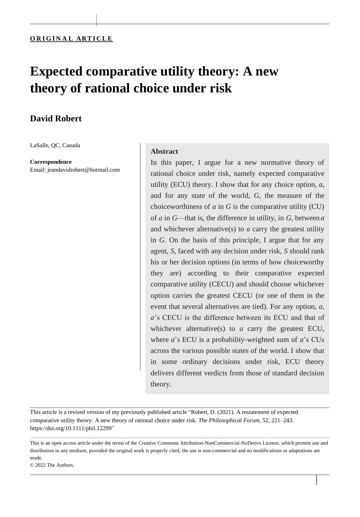|

# **Expected comparative utility theory: A new theory of rational choice under risk**

# **David Robert**

LaSalle, QC, Canada

**Correspondence**

Email: [jeandavidrobert@hotmail.com](mailto:jeandavidrobert@hotmail.com)

## **Abstract**

In this paper, I argue for a new normative theory of rational choice under risk, namely expected comparative utility (ECU) theory. I show that for any choice option, *a*, and for any state of the world, *G*, the measure of the choiceworthiness of *a* in *G* is the comparative utility (CU) of *a* in *G*—that is, the difference in utility, in *G*, between *a*  and whichever alternative(s) to *a* carry the greatest utility in *G*. On the basis of this principle, I argue that for any agent, *S*, faced with any decision under risk, *S* should rank his or her decision options (in terms of how choiceworthy they are) according to their comparative expected comparative utility (CECU) and should choose whichever option carries the greatest CECU (or one of them in the event that several alternatives are tied). For any option, *a*, *a*'s CECU is the difference between its ECU and that of whichever alternative(s) to *a* carry the greatest ECU, where *a*'s ECU is a probability-weighted sum of *a*'s CUs across the various possible states of the world. I show that in some ordinary decisions under risk, ECU theory delivers different verdicts from those of standard decision theory.

|

This article is a revised version of my previously published article "Robert, D. (2021). A restatement of expected comparative utility theory: A new theory of rational choice under risk. *The Philosophical Forum*, 52, 221–243. [https://doi.org/10.1111/phil.12299"](https://doi.org/10.1111/phil.12299)

This is an open access article under the terms of the [Creative Commons Attribution-NonCommercial-NoDerivs](http://creativecommons.org/licenses/by-nc-nd/4.0/) License, which permits use and distribution in any medium, provided the original work is properly cited, the use is non-commercial and no modifications or adaptations are made.

© 2022 The Authors.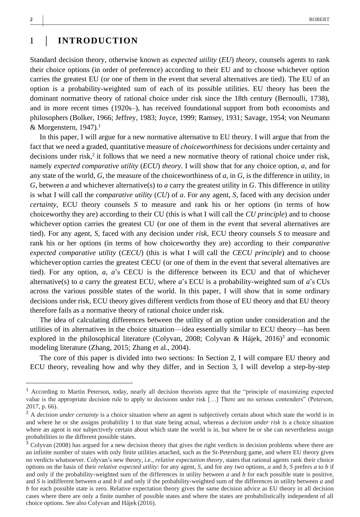# **<sup>1</sup>** | **INTRODUCTION**

Standard decision theory, otherwise known as *expected utility* (*EU*) *theory*, counsels agents to rank their choice options (in order of preference) according to their EU and to choose whichever option carries the greatest EU (or one of them in the event that several alternatives are tied). The EU of an option is a probability-weighted sum of each of its possible utilities. EU theory has been the dominant normative theory of rational choice under risk since the 18th century (Bernoulli, 1738), and in more recent times (1920s–), has received foundational support from both economists and philosophers (Bolker, 1966; Jeffrey, 1983; Joyce, 1999; Ramsey, 1931; Savage, 1954; von Neumann & Morgenstern,  $1947$ ).<sup>1</sup>

In this paper, I will argue for a new normative alternative to EU theory. I will argue that from the fact that we need a graded, quantitative measure of *choiceworthiness* for decisions under certainty and decisions under risk,<sup>2</sup> it follows that we need a new normative theory of rational choice under risk, namely *expected comparative utility* (*ECU*) *theory*. I will show that for any choice option, *a*, and for any state of the world, *G*, the measure of the choiceworthiness of *a*, in *G*, is the difference in utility, in *G*, between *a* and whichever alternative(s) to *a* carry the greatest utility in *G*. This difference in utility is what I will call the *comparative utility* (*CU*) of *a*. For any agent, *S*, faced with any decision under *certainty*, ECU theory counsels *S* to measure and rank his or her options (in terms of how choiceworthy they are) according to their CU (this is what I will call the *CU principle*) and to choose whichever option carries the greatest CU (or one of them in the event that several alternatives are tied). For any agent, *S*, faced with any decision under *risk*, ECU theory counsels *S* to measure and rank his or her options (in terms of how choiceworthy they are) according to their *comparative expected comparative utility* (*CECU*) (this is what I will call the *CECU principle*) and to choose whichever option carries the greatest CECU (or one of them in the event that several alternatives are tied). For any option, *a*, *a*'s CECU is the difference between its ECU and that of whichever alternative(s) to *a* carry the greatest ECU, where *a*'s ECU is a probability-weighted sum of *a*'s CUs across the various possible states of the world. In this paper, I will show that in some ordinary decisions under risk, ECU theory gives different verdicts from those of EU theory and that EU theory therefore fails as a normative theory of rational choice under risk.

The idea of calculating differences between the utility of an option under consideration and the utilities of its alternatives in the choice situation—idea essentially similar to ECU theory—has been explored in the philosophical literature (Colyvan, 2008; Colyvan & Hájek, 2016)<sup>3</sup> and economic modeling literature (Zhang, 2015; Zhang et al., 2004).

The core of this paper is divided into two sections: In Section 2, I will compare EU theory and ECU theory, revealing how and why they differ, and in Section 3, I will develop a step-by-step

<sup>&</sup>lt;sup>1</sup> According to Martin Peterson, today, nearly all decision theorists agree that the "principle of maximizing expected value is the appropriate decision rule to apply to decisions under risk […] There are no serious contenders" (Peterson, 2017, p. 66).

<sup>&</sup>lt;sup>2</sup> A *decision under certainty* is a choice situation where an agent is subjectively certain about which state the world is in and where he or she assigns probability 1 to that state being actual, whereas a *decision under risk* is a choice situation where an agent is *not* subjectively certain about which state the world is in, but where he or she can nevertheless assign probabilities to the different possible states.

<sup>&</sup>lt;sup>3</sup> Colyvan (2008) has argued for a new decision theory that gives the right verdicts in decision problems where there are an infinite number of states with only finite utilities attached, such as the St-Petersburg game, and where EU theory gives no verdicts whatsoever. Colyvan's new theory, i.e., *relative expectation theory*, states that rational agents rank their choice options on the basis of their *relative expected utility*: for any agent, *S*, and for any two options, *a* and *b*, *S* prefers *a* to *b* if and only if the probability-weighted sum of the differences in utility between *a* and *b* for each possible state is positive, and *S* is indifferent between *a* and *b* if and only if the probability-weighted sum of the differences in utility between *a* and *b* for each possible state is zero. Relative expectation theory gives the same decision advice as EU theory in all decision cases where there are only a finite number of possible states and where the states are probabilistically independent of all choice options. See also Colyvan and Hájek (2016).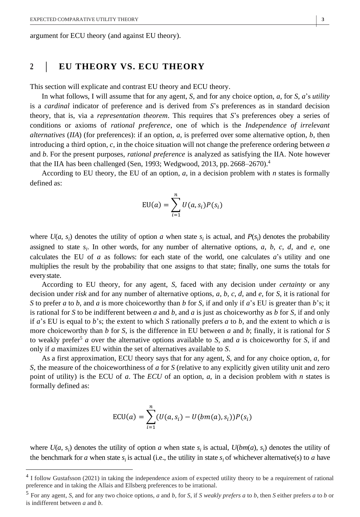argument for ECU theory (and against EU theory).

## **<sup>2</sup>** | **EU THEORY VS. ECU THEORY**

This section will explicate and contrast EU theory and ECU theory.

In what follows, I will assume that for any agent, *S*, and for any choice option, *a*, for *S*, *a*'s *utility* is a *cardinal* indicator of preference and is derived from *S*'s preferences as in standard decision theory, that is, via a *representation theorem*. This requires that *S*'s preferences obey a series of conditions or axioms of *rational preference*, one of which is the *Independence of irrelevant alternatives* (*IIA*) (for preferences): if an option, *a*, is preferred over some alternative option, *b*, then introducing a third option, *c*, in the choice situation will not change the preference ordering between *a* and *b*. For the present purposes, *rational preference* is analyzed as satisfying the IIA. Note however that the IIA has been challenged (Sen, 1993; Wedgwood, 2013, pp. 2668–2670).<sup>4</sup>

According to EU theory, the EU of an option, *a*, in a decision problem with *n* states is formally defined as:

$$
EU(a) = \sum_{i=1}^{n} U(a, s_i) P(s_i)
$$

where  $U(a, s_i)$  denotes the utility of option *a* when state  $s_i$  is actual, and  $P(s_i)$  denotes the probability assigned to state  $s_i$ . In other words, for any number of alternative options,  $a$ ,  $b$ ,  $c$ ,  $d$ , and  $e$ , one calculates the EU of  $a$  as follows: for each state of the world, one calculates  $a$ 's utility and one multiplies the result by the probability that one assigns to that state; finally, one sums the totals for everystate.

According to EU theory, for any agent, *S*, faced with any decision under *certainty* or any decision under *risk* and for any number of alternative options, *a*, *b*, *c*, *d*, and *e*, for *S*, it is rational for *S* to prefer *a* to *b*, and *a* is more choiceworthy than *b* for *S*, if and only if *a*'s EU is greater than *b*'s; it is rational for *S* to be indifferent between *a* and *b*, and *a* is just as choiceworthy as *b* for *S*, if and only if *a*'s EU is equal to *b*'s; the extent to which *S* rationally prefers *a* to *b*, and the extent to which *a* is more choiceworthy than *b* for *S*, is the difference in EU between *a* and *b*; finally, it is rational for *S*  to weakly prefer<sup>5</sup> *a* over the alternative options available to *S*, and *a* is choiceworthy for *S*, if and only if *a* maximizes EU within the set of alternatives available to *S*.

As a first approximation, ECU theory says that for any agent, *S*, and for any choice option, *a*, for *S*, the measure of the choiceworthiness of *a* for *S* (relative to any explicitly given utility unit and zero point of utility) is the ECU of *a*. The *ECU* of an option, *a*, in a decision problem with *n* states is formally defined as:

$$
ECU(a) = \sum_{i=1}^{n} (U(a, s_i) - U(bm(a), s_i))P(s_i)
$$

where  $U(a, s_i)$  denotes the utility of option *a* when state  $s_i$  is actual,  $U(bm(a), s_i)$  denotes the utility of the benchmark for *a* when state  $s_i$  is actual (i.e., the utility in state  $s_i$  of whichever alternative(s) to *a* have

<sup>4</sup> I follow Gustafsson (2021) in taking the independence axiom of expected utility theory to be a requirement of rational preference and in taking the Allais and Ellsberg preferences to be irrational.

<sup>5</sup> For any agent, *S*, and for any two choice options, *a* and *b*, for *S*, if *S weakly prefers a* to *b*, then *S* either prefers *a* to *b* or is indifferent between *a* and *b*.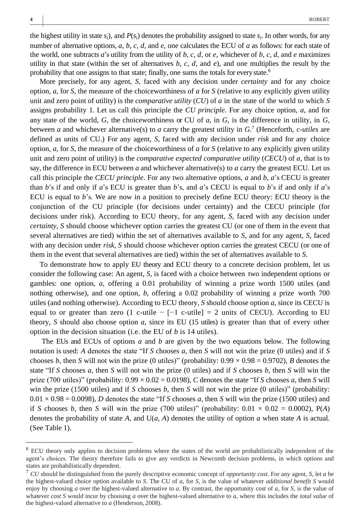the highest utility in state  $s_i$ ), and  $P(s_i)$  denotes the probability assigned to state  $s_i$ . In other words, for any number of alternative options, *a*, *b*, *c*, *d*, and *e*, one calculates the ECU of *a* as follows: for each state of the world, one subtracts *a*'s utility from the utility of *b*, *c*, *d*, or *e*, whichever of *b*, *c*, *d*, and *e* maximizes utility in that state (within the set of alternatives  $b, c, d$ , and  $e$ ), and one multiplies the result by the probability that one assigns to that state; finally, one sums the totals for everystate.<sup>6</sup>

More precisely, for any agent, *S*, faced with any decision under *certainty* and for any choice option, *a*, for *S*, the measure of the choiceworthiness of *a* for *S* (relative to any explicitly given utility unit and zero point of utility) is the *comparative utility* (*CU*) of *a* in the state of the world to which *S* assigns probability 1. Let us call this principle the *CU principle*. For any choice option, *a*, and for any state of the world, *G*, the choiceworthiness or CU of *a*, in *G*, is the difference in utility, in *G*, between *a* and whichever alternative(s) to *a* carry the greatest utility in *G*. 7 (Henceforth, *c-utiles* are defined as units of CU.) For any agent, *S*, faced with any decision under *risk* and for any choice option, *a*, for *S*, the measure of the choiceworthiness of *a* for *S* (relative to any explicitly given utility unit and zero point of utility) is the *comparative expected comparative utility* (*CECU*) of *a*, that is to say, the difference in ECU between *a* and whichever alternative(s) to *a* carry the greatest ECU. Let us call this principle the *CECU principle*. For any two alternative options, *a* and *b*, *a*'s CECU is greater than *b*'s if and only if *a*'s ECU is greater than *b*'s, and *a*'s CECU is equal to *b*'s if and only if *a*'s ECU is equal to *b*'s. We are now in a position to precisely define ECU theory: ECU theory is the conjunction of the CU principle (for decisions under certainty) and the CECU principle (for decisions under risk). According to ECU theory, for any agent, *S*, faced with any decision under *certainty*, *S* should choose whichever option carries the greatest CU (or one of them in the event that several alternatives are tied) within the set of alternatives available to *S*, and for any agent, *S*, faced with any decision under *risk*, *S* should choose whichever option carries the greatest CECU (or one of them in the event that several alternatives are tied) within the set of alternatives available to *S*.

To demonstrate how to apply EU theory and ECU theory to a concrete decision problem, let us consider the following case: An agent, *S*, is faced with a choice between two independent options or gambles: one option, *a*, offering a 0.01 probability of winning a prize worth 1500 utiles (and nothing otherwise), and one option, *b*, offering a 0.02 probability of winning a prize worth 700 utiles (and nothing otherwise). According to ECU theory, *S* should choose option *a*, since its CECU is equal to or greater than zero (1 c-utile  $-$  [-1 c-utile] = 2 units of CECU). According to EU theory, *S* should also choose option *a*, since its EU (15 utiles) is greater than that of every other option in the decision situation (i.e. the EU of *b* is 14 utiles).

The EUs and ECUs of options *a* and *b* are given by the two equations below. The following notation is used: *A* denotes the state "If *S* chooses *a*, then *S* will not win the prize (0 utiles) and if *S*  chooses *b*, then *S* will not win the prize (0 utiles)" (probability:  $0.99 \times 0.98 = 0.9702$ ), *B* denotes the state "If *S* chooses *a*, then *S* will not win the prize (0 utiles) and if *S* chooses *b*, then *S* will win the prize (700 utiles)" (probability:  $0.99 \times 0.02 = 0.0198$ ), *C* denotes the state "If *S* chooses *a*, then *S* will win the prize (1500 utiles) and if *S* chooses *b*, then *S* will not win the prize (0 utiles)" (probability:  $0.01 \times 0.98 = 0.0098$ , *D* denotes the state "If *S* chooses *a*, then *S* will win the prize (1500 utiles) and if *S* chooses *b*, then *S* will win the prize (700 utiles)" (probability:  $0.01 \times 0.02 = 0.0002$ ), P(*A*) denotes the probability of state *A*, and U(*a*, *A*) denotes the utility of option *a* when state *A* is actual. (See Table 1).

<sup>6</sup> ECU theory only applies to decision problems where the states of the world are probabilistically independent of the agent's choices. The theory therefore fails to give any verdicts in Newcomb decision problems, in which options and states are probabilistically dependent.

<sup>7</sup> *CU* should be distinguished from the purely descriptive economic concept of *opportunity cost*. For any agent, *S*, let *a* be the highest-valued choice option available to *S*. The CU of *a*, for *S*, is the value of whatever *additional benefit S* would enjoy by choosing *a* over the highest-valued alternative to *a*. By contrast, the opportunity cost of *a*, for *S*, is the value of whatever *cost S* would incur by choosing *a* over the highest-valued alternative to *a*, where this includes the *total value* of the highest-valued alternative to *a* (Henderson, 2008).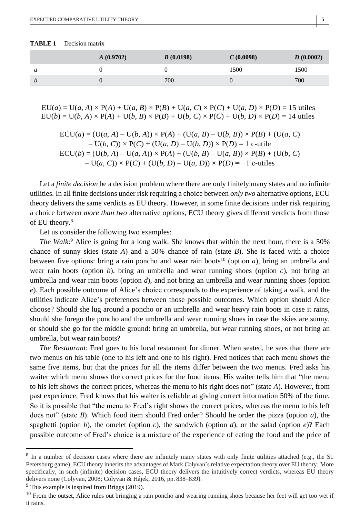| Decision matrix |
|-----------------|
|                 |

|                  | A(0.9702) | B(0.0198) | C(0.0098) | D(0.0002) |
|------------------|-----------|-----------|-----------|-----------|
| a                |           |           | 1500      | 1500      |
| $\boldsymbol{D}$ |           | 700       |           | 700       |

 $EU(a) = U(a, A) \times P(A) + U(a, B) \times P(B) + U(a, C) \times P(C) + U(a, D) \times P(D) = 15$  utiles  $EU(b) = U(b, A) \times P(A) + U(b, B) \times P(B) + U(b, C) \times P(C) + U(b, D) \times P(D) = 14$  utiles

$$
ECU(a) = (U(a, A) – U(b, A)) \times P(A) + (U(a, B) – U(b, B)) \times P(B) + (U(a, C)- U(b, C)) \times P(C) + (U(a, D) – U(b, D)) \times P(D) = 1 c-utileECU(b) = (U(b, A) – U(a, A)) \times P(A) + (U(b, B) – U(a, B)) \times P(B) + (U(b, C)- U(a, C)) \times P(C) + (U(b, D) – U(a, D)) \times P(D) = -1 c-utiles
$$

Let a *finite decision* be a decision problem where there are only finitely many states and no infinite utilities. In all finite decisions under risk requiring a choice between *only two* alternative options, ECU theory delivers the same verdicts as EU theory. However, in some finite decisions under risk requiring a choice between *more than two* alternative options, ECU theory gives different verdicts from those of EU theory.<sup>8</sup>

Let us consider the following two examples:

*The Walk*: <sup>9</sup> Alice is going for a long walk. She knows that within the next hour, there is a 50% chance of sunny skies (state *A*) and a 50% chance of rain (state *B*). She is faced with a choice between five options: bring a rain poncho and wear rain boots<sup>10</sup> (option  $a$ ), bring an umbrella and wear rain boots (option  $b$ ), bring an umbrella and wear running shoes (option  $c$ ), not bring an umbrella and wear rain boots (option *d*), and not bring an umbrella and wear running shoes (option *e*). Each possible outcome of Alice's choice corresponds to the experience of taking a walk, and the utilities indicate Alice's preferences between those possible outcomes. Which option should Alice choose? Should she lug around a poncho or an umbrella and wear heavy rain boots in case it rains, should she forego the poncho and the umbrella and wear running shoes in case the skies are sunny, or should she go for the middle ground: bring an umbrella, but wear running shoes, or not bring an umbrella, but wear rain boots?

*The Restaurant*: Fred goes to his local restaurant for dinner. When seated, he sees that there are two menus on his table (one to his left and one to his right). Fred notices that each menu shows the same five items, but that the prices for all the items differ between the two menus. Fred asks his waiter which menu shows the correct prices for the food items. His waiter tells him that "the menu to his left shows the correct prices, whereas the menu to his right does not" (state *A*). However, from past experience, Fred knows that his waiter is reliable at giving correct information 50% of the time. So it is possible that "the menu to Fred's right shows the correct prices, whereas the menu to his left does not" (state *B*). Which food item should Fred order? Should he order the pizza (option *a*), the spaghetti (option *b*), the omelet (option *c*), the sandwich (option *d*), or the salad (option *e*)? Each possible outcome of Fred's choice is a mixture of the experience of eating the food and the price of

<sup>&</sup>lt;sup>8</sup> In a number of decision cases where there are infinitely many states with only finite utilities attached (e.g., the St. Petersburg game), ECU theory inherits the advantages of Mark Colyvan's relative expectation theory over EU theory. More specifically, in such (infinite) decision cases, ECU theory delivers the intuitively correct verdicts, whereas EU theory delivers none (Colyvan, 2008; Colyvan & Hájek, 2016, pp. 838–839).

 $9$  This example is inspired from Briggs (2019).

<sup>&</sup>lt;sup>10</sup> From the outset, Alice rules out bringing a rain poncho and wearing running shoes because her feet will get too wet if it rains.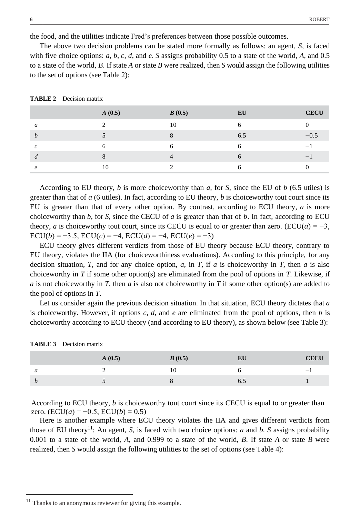the food, and the utilities indicate Fred's preferences between those possible outcomes.

The above two decision problems can be stated more formally as follows: an agent, *S*, is faced with five choice options: *a*, *b*, *c*, *d*, and *e*. *S* assigns probability 0.5 to a state of the world, *A*, and 0.5 to a state of the world, *B*. If state *A* or state *B* were realized, then *S* would assign the following utilities to the set of options (see Table 2):

|                     | A(0.5) | B(0.5) | EU           | <b>CECU</b>              |
|---------------------|--------|--------|--------------|--------------------------|
| a                   |        | 10     | 6            |                          |
| h                   |        |        | 6.5          | $-0.5$                   |
| $\mathcal{C}$       | n      |        | h            | $\overline{\phantom{0}}$ |
| d                   |        |        | <sub>6</sub> |                          |
| $\boldsymbol{\rho}$ | 10     |        | h            |                          |

**TABLE 2** Decision matrix

According to EU theory, *b* is more choiceworthy than *a*, for *S*, since the EU of *b* (6.5 utiles) is greater than that of *a* (6 utiles). In fact, according to EU theory, *b* is choiceworthy tout court since its EU is greater than that of every other option. By contrast, according to ECU theory, *a* is more choiceworthy than *b*, for *S*, since the CECU of *a* is greater than that of *b*. In fact, according to ECU theory, *a* is choiceworthy tout court, since its CECU is equal to or greater than zero. (ECU( $a$ ) =  $-3$ ,  $ECU(b) = -3.5$ ,  $ECU(c) = -4$ ,  $ECU(d) = -4$ ,  $ECU(e) = -3$ )

ECU theory gives different verdicts from those of EU theory because ECU theory, contrary to EU theory, violates the IIA (for choiceworthiness evaluations). According to this principle, for any decision situation, *T*, and for any choice option, *a*, in *T*, if *a* is choiceworthy in *T*, then *a* is also choiceworthy in *T* if some other option(s) are eliminated from the pool of options in *T*. Likewise, if *a* is not choiceworthy in *T*, then *a* is also not choiceworthy in *T* if some other option(s) are added to the pool of options in *T*.

Let us consider again the previous decision situation. In that situation, ECU theory dictates that *a* is choiceworthy. However, if options *c*, *d*, and *e* are eliminated from the pool of options, then *b* is choiceworthy according to ECU theory (and according to EU theory), as shown below (see Table 3):

|                    | A(0.5) | B(0.5) | EU  | CECU |
|--------------------|--------|--------|-----|------|
| a                  | -      | 10     |     |      |
| $\boldsymbol{\nu}$ |        |        | U.J |      |

**TABLE 3** Decision matrix

According to ECU theory, *b* is choiceworthy tout court since its CECU is equal to or greater than zero. ( $ECU(a) = -0.5$ ,  $ECU(b) = 0.5$ )

Here is another example where ECU theory violates the IIA and gives different verdicts from those of EU theory<sup>11</sup>: An agent, *S*, is faced with two choice options: *a* and *b*. *S* assigns probability 0.001 to a state of the world, *A*, and 0.999 to a state of the world, *B*. If state *A* or state *B* were realized, then *S* would assign the following utilities to the set of options (see Table 4):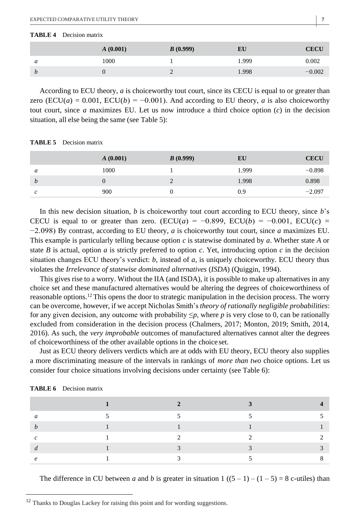#### **TABLE 4** Decision matrix

|                  | A(0.001)    | B(0.999) | ЕU    | CECU     |
|------------------|-------------|----------|-------|----------|
| a                | 1000        |          | 1.999 | 0.002    |
| $\boldsymbol{D}$ | $\mathbf 0$ |          | .998  | $-0.002$ |

According to ECU theory, *a* is choiceworthy tout court, since its CECU is equal to or greater than zero (ECU(*a*) = 0.001, ECU(*b*) = −0.001). And according to EU theory, *a* is also choiceworthy tout court, since *a* maximizes EU. Let us now introduce a third choice option (*c*) in the decision situation, all else being the same (see Table 5):

| TABLE 5 | Decision matrix |
|---------|-----------------|
|---------|-----------------|

|   | A(0.001) | B(0.999) | EU    | <b>CECU</b> |
|---|----------|----------|-------|-------------|
| a | 1000     |          | 1.999 | $-0.898$    |
| b |          |          | 1.998 | 0.898       |
| c | 900      |          | 0.9   | $-2.097$    |

In this new decision situation, *b* is choiceworthy tout court according to ECU theory, since *b*'s CECU is equal to or greater than zero. (ECU(*a*) = −0.899, ECU(*b*) = −0.001, ECU(*c*) = −2.098) By contrast, according to EU theory, *a* is choiceworthy tout court, since *a* maximizes EU. This example is particularly telling because option *c* is statewise dominated by *a*. Whether state *A* or state *B* is actual, option *a* is strictly preferred to option *c*. Yet, introducing option *c* in the decision situation changes ECU theory's verdict: *b*, instead of *a*, is uniquely choiceworthy. ECU theory thus violates the *Irrelevance of statewise dominated alternatives* (*ISDA*) (Quiggin, 1994).

This gives rise to a worry. Without the IIA (and ISDA), it is possible to make up alternatives in any choice set and these manufactured alternatives would be altering the degrees of choiceworthiness of reasonable options.<sup>12</sup> This opens the door to strategic manipulation in the decision process. The worry can be overcome, however, if we accept Nicholas Smith's *theory of rationally negligible probabilities*: for any given decision, any outcome with probability  $\leq p$ , where p is very close to 0, can be rationally excluded from consideration in the decision process (Chalmers, 2017; Monton, 2019; Smith, 2014, 2016). As such, the *very improbable* outcomes of manufactured alternatives cannot alter the degrees of choiceworthiness of the other available options in the choice set.

Just as ECU theory delivers verdicts which are at odds with EU theory, ECU theory also supplies a more discriminating measure of the intervals in rankings of *more than two* choice options. Let us consider four choice situations involving decisions under certainty (see Table 6):

| TABLE 6 | Decision matrix |  |
|---------|-----------------|--|
|---------|-----------------|--|

The difference in CU between *a* and *b* is greater in situation 1 ( $(5 - 1) - (1 - 5) = 8$  c-utiles) than

<sup>&</sup>lt;sup>12</sup> Thanks to Douglas Lackey for raising this point and for wording suggestions.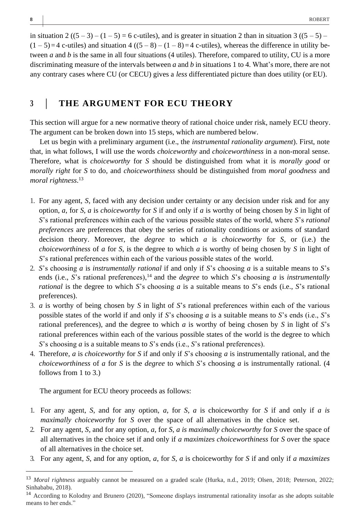in situation 2  $((5-3)-(1-5)=6$  c-utiles), and is greater in situation 2 than in situation 3  $((5-5) (1-5)=4$  c-utiles) and situation  $4((5-8)-(1-8)=4$  c-utiles), whereas the difference in utility between *a* and *b* is the same in all four situations (4 utiles). Therefore, compared to utility, CU is a more discriminating measure of the intervals between *a* and *b* in situations 1 to 4. What's more, there are not any contrary cases where CU (or CECU) gives a *less* differentiated picture than does utility (or EU).

# **<sup>3</sup>** | **THE ARGUMENT FOR ECU THEORY**

This section will argue for a new normative theory of rational choice under risk, namely ECU theory. The argument can be broken down into 15 steps, which are numbered below.

Let us begin with a preliminary argument (i.e., the *instrumental rationality argument*). First, note that, in what follows, I will use the words *choiceworthy* and *choiceworthiness* in a non-moral sense. Therefore, what is *choiceworthy* for *S* should be distinguished from what it is *morally good* or *morally right* for *S* to do, and *choiceworthiness* should be distinguished from *moral goodness* and *moral rightness*. 13

- 1. For any agent, *S*, faced with any decision under certainty or any decision under risk and for any option, *a*, for *S*, *a* is *choiceworthy* for *S* if and only if *a* is worthy of being chosen by *S* in light of *S*'s rational preferences within each of the various possible states of the world, where *S*'s *rational preferences* are preferences that obey the series of rationality conditions or axioms of standard decision theory. Moreover, the *degree* to which *a* is *choiceworthy* for *S*, or (i.e.) the *choiceworthiness* of *a* for *S*, is the degree to which *a* is worthy of being chosen by *S* in light of *S*'s rational preferences within each of the various possible states of the world.
- 2. *S*'s choosing *a* is *instrumentally rational* if and only if *S*'s choosing *a* is a suitable means to *S*'s ends (i.e., *S*'s rational preferences),<sup>14</sup> and the *degree* to which *S*'s choosing *a* is *instrumentally rational* is the degree to which *S*'s choosing *a* is a suitable means to *S*'s ends (i.e., *S*'s rational preferences).
- 3. *a* is worthy of being chosen by *S* in light of *S*'s rational preferences within each of the various possible states of the world if and only if *S*'s choosing *a* is a suitable means to *S*'s ends (i.e., *S*'s rational preferences), and the degree to which *a* is worthy of being chosen by *S* in light of *S*'s rational preferences within each of the various possible states of the world is the degree to which *S*'s choosing *a* is a suitable means to *S*'s ends (i.e., *S*'s rational preferences).
- 4. Therefore, *a* is *choiceworthy* for *S* if and only if *S*'s choosing *a* is instrumentally rational, and the *choiceworthiness* of *a* for *S* is the *degree* to which *S*'s choosing *a* is instrumentally rational. (4 follows from 1 to 3.)

The argument for ECU theory proceeds as follows:

- 1. For any agent, *S*, and for any option, *a*, for *S*, *a* is choiceworthy for *S* if and only if *a is maximally choiceworthy* for *S* over the space of all alternatives in the choice set.
- 2. For any agent, *S*, and for any option, *a*, for *S*, *a is maximally choiceworthy* for *S* over the space of all alternatives in the choice set if and only if *a maximizes choiceworthiness* for *S* over the space of all alternatives in the choice set.
- 3. For any agent, *S*, and for any option, *a*, for *S*, *a* is choiceworthy for *S* if and only if *a maximizes*

<sup>13</sup> *Moral rightness* arguably cannot be measured on a graded scale (Hurka, n.d., 2019; Olsen, 2018; Peterson, 2022; Sinhababu, 2018).

<sup>14</sup> According to Kolodny and Brunero (2020), "Someone displays instrumental rationality insofar as she adopts suitable means to her ends."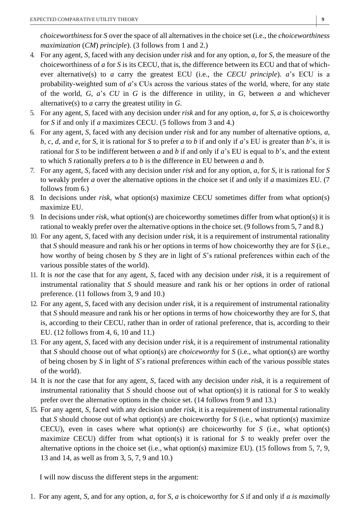*choiceworthiness* for *S* over the space of all alternatives in the choice set (i.e., the *choiceworthiness maximization* (*CM*) *principle*). (3 follows from 1 and 2.)

- 4. For any agent, *S*, faced with any decision under *risk* and for any option, *a*, for *S*, the measure of the choiceworthiness of *a* for *S* is its CECU, that is, the difference between its ECU and that of whichever alternative(s) to *a* carry the greatest ECU (i.e., the *CECU principle*). *a*'s ECU is a probability*-*weighted sum of *a*'s CUs across the various states of the world, where, for any state of the world, *G*, *a*'s *CU* in *G* is the difference in utility, in *G*, between *a* and whichever alternative(s) to *a* carry the greatest utility in *G*.
- 5. For any agent, *S*, faced with any decision under *risk* and for any option, *a*, for *S*, *a* is choiceworthy for *S* if and only if *a* maximizes CECU. (5 follows from 3 and 4.)
- 6. For any agent, *S*, faced with any decision under *risk* and for any number of alternative options, *a*, *b*, *c*, *d*, and *e*, for *S*, it is rational for *S* to prefer *a* to *b* if and only if *a*'s EU is greater than *b*'s, it is rational for *S* to be indifferent between *a* and *b* if and only if *a*'s EU is equal to *b*'s, and the extent to which *S* rationally prefers *a* to *b* is the difference in EU between *a* and *b*.
- 7. For any agent, *S*, faced with any decision under *risk* and for any option, *a*, for *S*, it is rational for *S*  to weakly prefer *a* over the alternative options in the choice set if and only if *a* maximizes EU. (7 follows from 6.)
- 8. In decisions under *risk*, what option(s) maximize CECU sometimes differ from what option(s) maximize EU.
- 9. In decisions under *risk*, what option(s) are choiceworthy sometimes differ from what option(s) it is rational to weakly prefer over the alternative optionsin the choice set. (9 followsfrom 5, 7 and 8.)
- 10. For any agent, *S*, faced with any decision under *risk*, it is a requirement of instrumental rationality that *S* should measure and rank his or her options in terms of how choiceworthy they are for *S* (i.e., how worthy of being chosen by *S* they are in light of *S*'s rational preferences within each of the various possible states of the world).
- 11. It is *not* the case that for any agent, *S*, faced with any decision under *risk*, it is a requirement of instrumental rationality that *S* should measure and rank his or her options in order of rational preference. (11 follows from 3, 9 and 10.)
- 12. For any agent, *S*, faced with any decision under *risk*, it is a requirement of instrumental rationality that *S* should measure and rank his or her options in terms of how choiceworthy they are for *S*, that is, according to their CECU, rather than in order of rational preference, that is, according to their EU. (12 follows from 4, 6, 10 and 11.)
- 13. For any agent, *S*, faced with any decision under *risk*, it is a requirement of instrumental rationality that *S* should choose out of what option(s) are *choiceworthy* for *S* (i.e., what option(s) are worthy of being chosen by *S* in light of *S*'s rational preferences within each of the various possible states of the world).
- 14. It is *not* the case that for any agent, *S*, faced with any decision under *risk*, it is a requirement of instrumental rationality that *S* should choose out of what option(s) it is rational for *S* to weakly prefer over the alternative options in the choice set. (14 follows from 9 and 13.)
- 15. For any agent, *S*, faced with any decision under *risk*, it is a requirement of instrumental rationality that *S* should choose out of what option(s) are choiceworthy for *S* (i.e., what option(s) maximize CECU), even in cases where what option(s) are choiceworthy for *S* (i.e., what option(s) maximize CECU) differ from what option(s) it is rational for *S* to weakly prefer over the alternative options in the choice set (i.e., what option(s) maximize EU). (15 follows from 5, 7, 9, 13 and 14, as well as from 3, 5, 7, 9 and 10.)

I will now discuss the different steps in the argument:

1. For any agent, *S*, and for any option, *a*, for *S*, *a* is choiceworthy for *S* if and only if *a is maximally*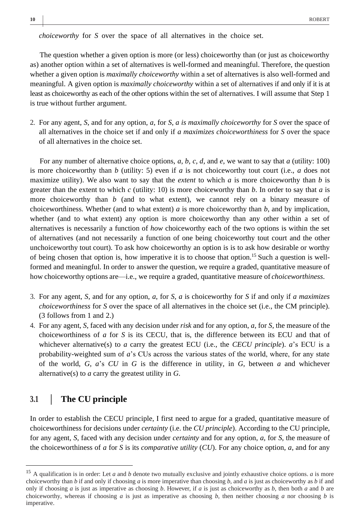*choiceworthy* for *S* over the space of all alternatives in the choice set.

The question whether a given option is more (or less) choiceworthy than (or just as choiceworthy as) another option within a set of alternatives is well-formed and meaningful. Therefore, the question whether a given option is *maximally choiceworthy* within a set of alternatives is also well-formed and meaningful. A given option is *maximally choiceworthy* within a set of alternatives if and only if it is at least as choiceworthy as each of the other options within the set of alternatives. I will assume that Step 1 is true without further argument.

2. For any agent, *S*, and for any option, *a*, for *S*, *a is maximally choiceworthy* for *S* over the space of all alternatives in the choice set if and only if *a maximizes choiceworthiness* for *S* over the space of all alternatives in the choice set.

For any number of alternative choice options, *a*, *b*, *c*, *d*, and *e*, we want to say that *a* (utility: 100) is more choiceworthy than *b* (utility: 5) even if *a* is not choiceworthy tout court (i.e., *a* does not maximize utility). We also want to say that the *extent* to which *a* is more choiceworthy than *b* is greater than the extent to which *c* (utility: 10) is more choiceworthy than *b*. In order to say that *a* is more choiceworthy than *b* (and to what extent), we cannot rely on a binary measure of choiceworthiness. Whether (and to what extent) *a* is more choiceworthy than *b*, and by implication, whether (and to what extent) any option is more choiceworthy than any other within a set of alternatives is necessarily a function of *how* choiceworthy each of the two options is within the set of alternatives (and not necessarily a function of one being choiceworthy tout court and the other unchoiceworthy tout court). To ask how choiceworthy an option is is to ask how desirable or worthy of being chosen that option is, how imperative it is to choose that option.<sup>15</sup> Such a question is wellformed and meaningful. In order to answer the question, we require a graded, quantitative measure of how choiceworthy options are—i.e., we require a graded, quantitative measure of *choiceworthiness*.

- 3. For any agent, *S*, and for any option, *a*, for *S*, *a* is choiceworthy for *S* if and only if *a maximizes choiceworthiness* for *S* over the space of all alternatives in the choice set (i.e., the CM principle). (3 follows from 1 and 2.)
- 4. For any agent, *S*, faced with any decision under *risk* and for any option, *a*, for *S*, the measure of the choiceworthiness of *a* for *S* is its CECU, that is, the difference between its ECU and that of whichever alternative(s) to *a* carry the greatest ECU (i.e., the *CECU principle*). *a*'s ECU is a probability*-*weighted sum of *a*'s CUs across the various states of the world, where, for any state of the world, *G*, *a*'s *CU* in *G* is the difference in utility, in *G*, between *a* and whichever alternative(s) to *a* carry the greatest utility in *G*.

# **3.1** | **The CU principle**

In order to establish the CECU principle, I first need to argue for a graded, quantitative measure of choiceworthiness for decisions under *certainty* (i.e. the *CU principle*). According to the CU principle, for any agent, *S*, faced with any decision under *certainty* and for any option, *a*, for *S*, the measure of the choiceworthiness of *a* for *S* is its *comparative utility* (*CU*). For any choice option, *a*, and for any

<sup>&</sup>lt;sup>15</sup> A qualification is in order: Let *a* and *b* denote two mutually exclusive and jointly exhaustive choice options. *a* is more choiceworthy than *b* if and only if choosing *a* is more imperative than choosing *b*, and *a* is just as choiceworthy as *b* if and only if choosing *a* is just as imperative as choosing *b*. However, if *a* is just as choiceworthy as *b*, then both *a* and *b* are choiceworthy, whereas if choosing *a* is just as imperative as choosing *b*, then neither choosing *a* nor choosing *b* is imperative.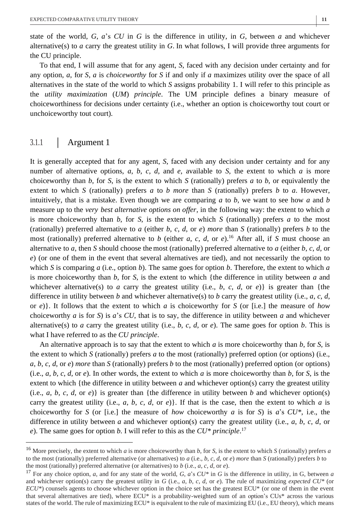state of the world, *G*, *a*'s *CU* in *G* is the difference in utility, in *G*, between *a* and whichever alternative(s) to *a* carry the greatest utility in *G*. In what follows, I will provide three arguments for the CU principle.

To that end, I will assume that for any agent, *S*, faced with any decision under certainty and for any option, *a*, for *S*, *a* is *choiceworthy* for *S* if and only if *a* maximizes utility over the space of all alternatives in the state of the world to which *S* assigns probability 1. I will refer to this principle as the *utility maximization* (*UM*) *principle*. The UM principle defines a binary measure of choiceworthiness for decisions under certainty (i.e., whether an option is choiceworthy tout court or unchoiceworthy tout court).

## 3.1.1 | Argument 1

It is generally accepted that for any agent, *S*, faced with any decision under certainty and for any number of alternative options, *a*, *b*, *c*, *d*, and *e*, available to *S*, the extent to which *a* is more choiceworthy than *b*, for *S*, is the extent to which *S* (rationally) prefers *a* to *b*, or equivalently the extent to which *S* (rationally) prefers *a* to *b more* than *S* (rationally) prefers *b* to *a*. However, intuitively, that is a mistake. Even though we are comparing *a* to *b*, we want to see how *a* and *b*  measure up to the *very best alternative options on offer*, in the following way: the extent to which *a*  is more choiceworthy than *b*, for *S*, is the extent to which *S* (rationally) prefers *a* to the most (rationally) preferred alternative to *a* (either *b*, *c*, *d*, or *e*) *more* than *S* (rationally) prefers *b* to the most (rationally) preferred alternative to *b* (either *a*, *c*, *d*, or *e*). <sup>16</sup> After all, if *S* must choose an alternative to *a*, then *S* should choose the most (rationally) preferred alternative to *a* (either *b*, *c*, *d*, or *e*) (or one of them in the event that several alternatives are tied), and not necessarily the option to which *S* is comparing *a* (i.e., option *b*). The same goes for option *b*. Therefore, the extent to which *a* is more choiceworthy than *b*, for *S*, is the extent to which {the difference in utility between *a* and whichever alternative(s) to *a* carry the greatest utility (i.e., *b*, *c*, *d*, or *e*)} is greater than {the difference in utility between *b* and whichever alternative(s) to *b* carry the greatest utility (i.e., *a*, *c*, *d*, or *e*)}. It follows that the extent to which *a* is choiceworthy for *S* (or [i.e.] the measure of *how*  choiceworthy *a* is for *S*) is *a*'s *CU*, that is to say, the difference in utility between *a* and whichever alternative(s) to *a* carry the greatest utility (i.e., *b*, *c*, *d*, or *e*). The same goes for option *b*. This is what I have referred to as the *CU principle*.

An alternative approach is to say that the extent to which *a* is more choiceworthy than *b*, for *S*, is the extent to which *S* (rationally) prefers *a* to the most (rationally) preferred option (or options) (i.e., *a*, *b*, *c*, *d*, or *e*) *more* than *S* (rationally) prefers *b* to the most (rationally) preferred option (or options) (i.e.,  $a, b, c, d$ , or  $e$ ). In other words, the extent to which  $a$  is more choiceworthy than  $b$ , for  $S$ , is the extent to which {the difference in utility between *a* and whichever option(s) carry the greatest utility (i.e., *a*, *b*, *c*, *d*, or *e*)} is greater than {the difference in utility between *b* and whichever option(s) carry the greatest utility (i.e.,  $a, b, c, d$ , or  $e$ ). If that is the case, then the extent to which  $a$  is choiceworthy for *S* (or [i.e.] the measure of *how* choiceworthy *a* is for *S*) is *a*'s *CU\**, i.e., the difference in utility between *a* and whichever option(s) carry the greatest utility (i.e., *a*, *b*, *c*, *d*, or *e*). The same goes for option *b*. I will refer to this as the *CU\* principle*. 17

<sup>16</sup> More precisely, the extent to which *a* is more choiceworthy than *b*, for *S*, is the extent to which *S* (rationally) prefers *a*  to the most (rationally) preferred alternative (or alternatives) to *a* (i.e., *b*, *c*, *d*, or *e*) *more* than *S* (rationally) prefers *b* to the most (rationally) preferred alternative (or alternatives) to  $b$  (i.e.,  $a$ ,  $c$ ,  $d$ , or  $e$ ).

<sup>17</sup> For any choice option, *a*, and for any state of the world, *G*, *a*'s *CU\** in *G* is the difference in utility, in G, between *a*  and whichever option(s) carry the greatest utility in  $G$  (i.e.,  $a, b, c, d$ , or  $e$ ). The rule of maximizing *expected*  $CU^*$  (or *ECU\**) counsels agents to choose whichever option in the choice set has the greatest ECU\* (or one of them in the event that several alternatives are tied), where ECU\* is a probability-weighted sum of an option's CUs\* across the various states of the world. The rule of maximizing ECU\* is equivalent to the rule of maximizing EU (i.e., EU theory), which means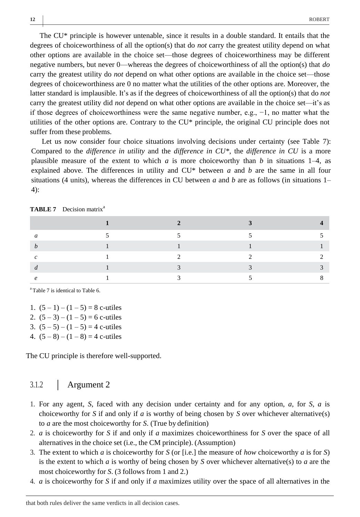The CU\* principle is however untenable, since it results in a double standard. It entails that the degrees of choiceworthiness of all the option(s) that do *not* carry the greatest utility depend on what other options are available in the choice set—those degrees of choiceworthiness may be different negative numbers, but never 0—whereas the degrees of choiceworthiness of all the option(s) that *do*  carry the greatest utility do *not* depend on what other options are available in the choice set—those degrees of choiceworthiness are 0 no matter what the utilities of the other options are. Moreover, the latter standard is implausible. It's as if the degrees of choiceworthiness of all the option(s) that do *not*  carry the greatest utility did *not* depend on what other options are available in the choice set—it's as if those degrees of choiceworthiness were the same negative number, e.g.,  $-1$ , no matter what the utilities of the other options are. Contrary to the CU\* principle, the original CU principle does not suffer from these problems.

Let us now consider four choice situations involving decisions under certainty (see Table 7): Compared to the *difference in utility* and the *difference in CU\**, the *difference in CU* is a more plausible measure of the extent to which *a* is more choiceworthy than *b* in situations 1–4, as explained above. The differences in utility and CU\* between *a* and *b* are the same in all four situations (4 units), whereas the differences in CU between *a* and *b* are as follows (in situations 1– 4):

**TABLE 7** Decision matrix<sup>a</sup>

<sup>a</sup>Table 7 is identical to Table 6.

| 1. $(5-1)-(1-5)=8$ c-utiles     |
|---------------------------------|
| 2. $(5-3)-(1-5)=6$ c-utiles     |
| 3. $(5-5)-(1-5)=4$ c-utiles     |
| 4. $(5-8) - (1-8) = 4$ c-utiles |

The CU principle is therefore well-supported.

## 3.1.2 | Argument 2

- 1. For any agent, *S*, faced with any decision under certainty and for any option, *a*, for *S*, *a* is choiceworthy for *S* if and only if *a* is worthy of being chosen by *S* over whichever alternative(s) to *a* are the most choiceworthy for *S*. (True by definition)
- 2. *a* is choiceworthy for *S* if and only if *a* maximizes choiceworthiness for *S* over the space of all alternatives in the choice set (i.e., the CM principle). (Assumption)
- 3. The extent to which *a* is choiceworthy for *S* (or [i.e.] the measure of *how* choiceworthy *a* is for *S*) is the extent to which *a* is worthy of being chosen by *S* over whichever alternative(s) to *a* are the most choiceworthy for *S*. (3 follows from 1 and 2.)
- 4. *a* is choiceworthy for *S* if and only if *a* maximizes utility over the space of all alternatives in the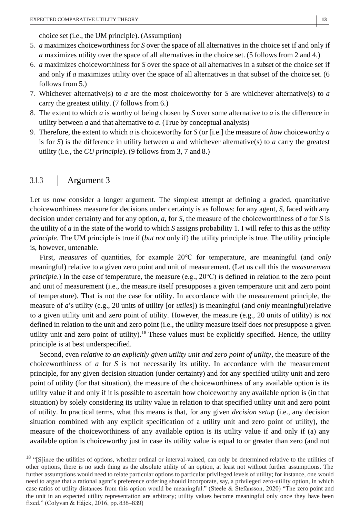choice set (i.e., the UM principle). (Assumption)

- 5. *a* maximizes choiceworthiness for *S* over the space of all alternatives in the choice set if and only if *a* maximizes utility over the space of all alternatives in the choice set. (5 follows from 2 and 4.)
- 6. *a* maximizes choiceworthiness for *S* over the space of all alternatives in a subset of the choice set if and only if *a* maximizes utility over the space of all alternatives in that subset of the choice set. (6 follows from 5.)
- 7. Whichever alternative(s) to *a* are the most choiceworthy for *S* are whichever alternative(s) to *a*  carry the greatest utility. (7 follows from 6.)
- 8. The extent to which *a* is worthy of being chosen by *S* over some alternative to *a* is the difference in utility between *a* and that alternative to *a*. (True by conceptual analysis)
- 9. Therefore, the extent to which *a* is choiceworthy for *S* (or [i.e.] the measure of *how* choiceworthy *a*  is for *S*) is the difference in utility between *a* and whichever alternative(s) to *a* carry the greatest utility (i.e., the *CU principle*). (9 follows from 3, 7 and 8.)

# 3.1.3 | Argument 3

Let us now consider a longer argument. The simplest attempt at defining a graded, quantitative choiceworthiness measure for decisions under certainty is as follows: for any agent, *S*, faced with any decision under certainty and for any option, *a*, for *S*, the measure of the choiceworthiness of *a* for *S* is the utility of *a* in the state of the world to which *S* assigns probability 1. I will refer to this as the *utility principle*. The UM principle is true if (*but not* only if) the utility principle is true. The utility principle is, however, untenable.

First, *measures* of quantities, for example 20℃ for temperature, are meaningful (and *only*  meaningful) relative to a given zero point and unit of measurement. (Let us call this the *measurement principle*.) In the case of temperature, the measure (e.g., 20°C) is defined in relation to the zero point and unit of measurement (i.e., the measure itself presupposes a given temperature unit and zero point of temperature). That is not the case for utility. In accordance with the measurement principle, the measure of *a*'s utility (e.g., 20 units of utility [or *utiles*]) is meaningful (and *only* meaningful) relative to a given utility unit and zero point of utility. However, the measure (e.g., 20 units of utility) is *not*  defined in relation to the unit and zero point (i.e., the utility measure itself does *not* presuppose a given utility unit and zero point of utility).<sup>18</sup> These values must be explicitly specified. Hence, the utility principle is at best underspecified.

Second, even *relative to an explicitly given utility unit and zero point of utility*, the measure of the choiceworthiness of *a* for *S* is not necessarily its utility. In accordance with the measurement principle, for any given decision situation (under certainty) and for any specified utility unit and zero point of utility (for that situation), the measure of the choiceworthiness of any available option is its utility value if and only if it is possible to ascertain how choiceworthy any available option is (in that situation) by solely considering its utility value in relation to that specified utility unit and zero point of utility. In practical terms, what this means is that, for any given *decision setup* (i.e., any decision situation combined with any explicit specification of a utility unit and zero point of utility), the measure of the choiceworthiness of any available option is its utility value if and only if (a) any available option is choiceworthy just in case its utility value is equal to or greater than zero (and not

<sup>&</sup>lt;sup>18</sup> "[S]ince the utilities of options, whether ordinal or interval-valued, can only be determined relative to the utilities of other options, there is no such thing as the absolute utility of an option, at least not without further assumptions. The further assumptions would need to relate particular options to particular privileged levels of utility; for instance, one would need to argue that a rational agent's preference ordering should incorporate, say, a privileged zero-utility option, in which case ratios of utility distances from this option would be meaningful." (Steele & Stefánsson, 2020) "The zero point and the unit in an expected utility representation are arbitrary; utility values become meaningful only once they have been fixed." (Colyvan & Hájek, 2016, pp. 838–839)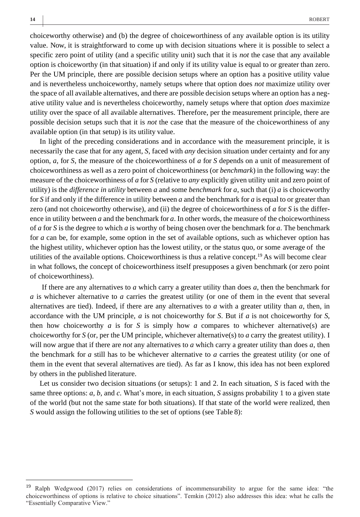choiceworthy otherwise) and (b) the degree of choiceworthiness of any available option is its utility value. Now, it is straightforward to come up with decision situations where it is possible to select a specific zero point of utility (and a specific utility unit) such that it is *not* the case that any available option is choiceworthy (in that situation) if and only if its utility value is equal to or greater than zero. Per the UM principle, there are possible decision setups where an option has a positive utility value and is nevertheless unchoiceworthy, namely setups where that option does *not* maximize utility over the space of all available alternatives, and there are possible decision setups where an option has a negative utility value and is nevertheless choiceworthy, namely setups where that option *does* maximize utility over the space of all available alternatives. Therefore, per the measurement principle, there are possible decision setups such that it is *not* the case that the measure of the choiceworthiness of any available option (in that setup) is its utility value.

In light of the preceding considerations and in accordance with the measurement principle, it is necessarily the case that for any agent, *S*, faced with *any* decision situation under certainty and for any option, *a*, for *S*, the measure of the choiceworthiness of *a* for *S* depends on a unit of measurement of choiceworthiness as well as a zero point of choiceworthiness (or *benchmark*) in the following way: the measure of the choiceworthiness of *a* for *S* (relative to *any* explicitly given utility unit and zero point of utility) is the *difference in utility* between *a* and some *benchmark* for *a*, such that (i) *a* is choiceworthy for *S* if and only if the difference in utility between *a* and the benchmark for *a* is equal to or greater than zero (and not choiceworthy otherwise), and (ii) the degree of choiceworthiness of *a* for *S* is the difference in utility between *a* and the benchmark for *a*. In other words, the measure of the choiceworthiness of *a* for *S* is the degree to which *a* is worthy of being chosen over the benchmark for *a*. The benchmark for *a* can be, for example, some option in the set of available options, such as whichever option has the highest utility, whichever option has the lowest utility, or the status quo, or some average of the utilities of the available options. Choiceworthiness is thus a relative concept.<sup>19</sup> As will become clear in what follows, the concept of choiceworthiness itself presupposes a given benchmark (or zero point of choiceworthiness).

If there are any alternatives to *a* which carry a greater utility than does *a*, then the benchmark for *a* is whichever alternative to *a* carries the greatest utility (or one of them in the event that several alternatives are tied). Indeed, if there are any alternatives to *a* with a greater utility than *a*, then, in accordance with the UM principle, *a* is not choiceworthy for *S*. But if *a* is not choiceworthy for *S*, then how choiceworthy  $a$  is for  $S$  is simply how  $a$  compares to whichever alternative(s) are choiceworthy for *S* (or, per the UM principle, whichever alternative(s) to *a* carry the greatest utility). I will now argue that if there are *not* any alternatives to *a* which carry a greater utility than does *a*, then the benchmark for *a* still has to be whichever alternative to *a* carries the greatest utility (or one of them in the event that several alternatives are tied). As far as I know, this idea has not been explored by others in the published literature.

Let us consider two decision situations (or setups): 1 and 2. In each situation, *S* is faced with the same three options: *a*, *b*, and *c*. What's more, in each situation, *S* assigns probability 1 to a given state of the world (but not the same state for both situations). If that state of the world were realized, then *S* would assign the following utilities to the set of options (see Table 8):

<sup>&</sup>lt;sup>19</sup> Ralph Wedgwood (2017) relies on considerations of incommensurability to argue for the same idea: "the choiceworthiness of options is relative to choice situations". Temkin (2012) also addresses this idea: what he calls the "Essentially Comparative View."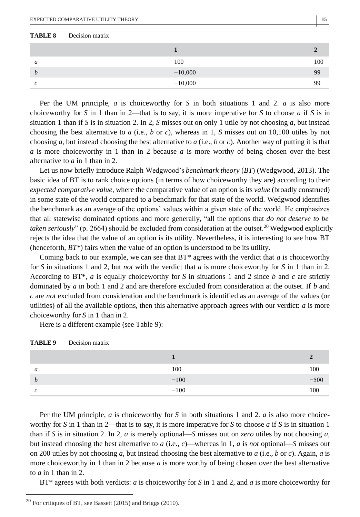#### **TABLE 8** Decision matrix

| a | 100       | 100 |
|---|-----------|-----|
| b | $-10,000$ | 99  |
| c | $-10,000$ | 99  |

Per the UM principle, *a* is choiceworthy for *S* in both situations 1 and 2. *a* is also more choiceworthy for *S* in 1 than in 2—that is to say, it is more imperative for *S* to choose *a* if *S* is in situation 1 than if *S* is in situation 2. In 2, *S* misses out on only 1 utile by not choosing *a*, but instead choosing the best alternative to *a* (i.e., *b* or *c*), whereas in 1, *S* misses out on 10,100 utiles by not choosing *a*, but instead choosing the best alternative to *a* (i.e., *b* or *c*). Another way of putting it is that *a* is more choiceworthy in 1 than in 2 because *a* is more worthy of being chosen over the best alternative to *a* in 1 than in 2.

Let us now briefly introduce Ralph Wedgwood's *benchmark theory* (*BT*) (Wedgwood, 2013). The basic idea of BT is to rank choice options (in terms of how choiceworthy they are) according to their *expected comparative value*, where the comparative value of an option is its *value* (broadly construed) in some state of the world compared to a benchmark for that state of the world. Wedgwood identifies the benchmark as an average of the options' values within a given state of the world. He emphasizes that all statewise dominated options and more generally, "all the options that *do not deserve to be taken seriously*" (p. 2664) should be excluded from consideration at the outset.<sup>20</sup> Wedgwood explicitly rejects the idea that the value of an option is its utility. Nevertheless, it is interesting to see how BT (henceforth, *BT\**) fairs when the value of an option is understood to be its utility.

Coming back to our example, we can see that BT\* agrees with the verdict that *a* is choiceworthy for *S* in situations 1 and 2, but *not* with the verdict that *a* is more choiceworthy for *S* in 1 than in 2. According to BT\*, *a* is equally choiceworthy for *S* in situations 1 and 2 since *b* and *c* are strictly dominated by *a* in both 1 and 2 and are therefore excluded from consideration at the outset. If *b* and *c* are *not* excluded from consideration and the benchmark is identified as an average of the values (or utilities) of all the available options, then this alternative approach agrees with our verdict: *a* is more choiceworthy for *S* in 1 than in 2.

Here is a different example (see Table 9):

| a | 100    | 100    |
|---|--------|--------|
| b | $-100$ | $-500$ |
| c | $-100$ | 100    |

Per the UM principle, *a* is choiceworthy for *S* in both situations 1 and 2. *a* is also more choiceworthy for *S* in 1 than in 2—that is to say, it is more imperative for *S* to choose *a* if *S* is in situation 1 than if *S* is in situation 2. In 2, *a* is merely optional—*S* misses out on *zero* utiles by not choosing *a*, but instead choosing the best alternative to *a* (i.e., *c*)—whereas in 1, *a* is *not* optional—*S* misses out on 200 utiles by not choosing *a*, but instead choosing the best alternative to *a* (i.e., *b* or *c*). Again, *a* is more choiceworthy in 1 than in 2 because *a* is more worthy of being chosen over the best alternative to  $a$  in 1 than in 2.

BT\* agrees with both verdicts: *a* is choiceworthy for *S* in 1 and 2, and *a* is more choiceworthy for

<sup>20</sup> For critiques of BT, see Bassett (2015) and Briggs (2010).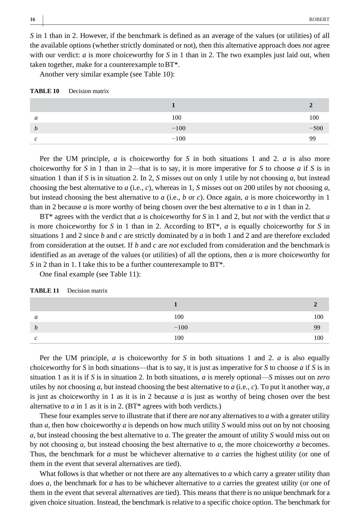*S* in 1 than in 2. However, if the benchmark is defined as an average of the values (or utilities) of all the available options (whether strictly dominated or not), then this alternative approach does *not* agree with our verdict: *a* is more choiceworthy for *S* in 1 than in 2. The two examples just laid out, when taken together, make for a counterexample toBT\*.

Another very similar example (see Table 10):

| TABLE 10<br>Decision matrix |  |
|-----------------------------|--|
|-----------------------------|--|

| a | 100    | 100    |
|---|--------|--------|
| b | $-100$ | $-500$ |
| c | $-100$ | 99     |

Per the UM principle, *a* is choiceworthy for *S* in both situations 1 and 2. *a* is also more choiceworthy for *S* in 1 than in 2—that is to say, it is more imperative for *S* to choose *a* if *S* is in situation 1 than if *S* is in situation 2. In 2, *S* misses out on only 1 utile by not choosing *a*, but instead choosing the best alternative to *a* (i.e., *c*), whereas in 1, *S* misses out on 200 utiles by not choosing *a*, but instead choosing the best alternative to *a* (i.e., *b* or *c*). Once again, *a* is more choiceworthy in 1 than in 2 because *a* is more worthy of being chosen over the best alternative to *a* in 1 than in 2.

BT\* agrees with the verdict that *a* is choiceworthy for *S* in 1 and 2, but *not* with the verdict that *a*  is more choiceworthy for *S* in 1 than in 2. According to BT\*, *a* is equally choiceworthy for *S* in situations 1 and 2 since *b* and *c* are strictly dominated by *a* in both 1 and 2 and are therefore excluded from consideration at the outset. If *b* and *c* are *not* excluded from consideration and the benchmark is identified as an average of the values (or utilities) of all the options, then *a* is more choiceworthy for *S* in 2 than in 1. I take this to be a further counterexample to BT\*.

One final example (see Table 11):

| a | 100    | 100 |
|---|--------|-----|
| b | $-100$ | 99  |
| c | 100    | 100 |

| TABLE 11 | Decision matrix |  |
|----------|-----------------|--|
|          |                 |  |

Per the UM principle, *a* is choiceworthy for *S* in both situations 1 and 2. *a* is also equally choiceworthy for *S* in both situations—that is to say, it is just as imperative for *S* to choose *a* if *S* is in situation 1 as it is if *S* is in situation 2. In both situations, *a* is merely optional—*S* misses out on *zero*  utiles by not choosing *a*, but instead choosing the best alternative to *a* (i.e., *c*). To put it another way, *a* is just as choiceworthy in 1 as it is in 2 because *a* is just as worthy of being chosen over the best alternative to *a* in 1 as it is in 2. (BT\* agrees with both verdicts.)

These four examples serve to illustrate that if there are *not* any alternatives to *a* with a greater utility than *a*, then how choiceworthy *a* is depends on how much utility *S* would miss out on by not choosing *a*, but instead choosing the best alternative to *a*. The greater the amount of utility *S* would miss out on by not choosing *a*, but instead choosing the best alternative to *a*, the more choiceworthy *a* becomes. Thus, the benchmark for *a* must be whichever alternative to *a* carries the highest utility (or one of them in the event that several alternatives are tied).

What follows is that whether or not there are any alternatives to *a* which carry a greater utility than does *a*, the benchmark for *a* has to be whichever alternative to *a* carries the greatest utility (or one of them in the event that several alternatives are tied). This means that there is no unique benchmark for a given choice situation. Instead, the benchmark is relative to a specific choice option. The benchmark for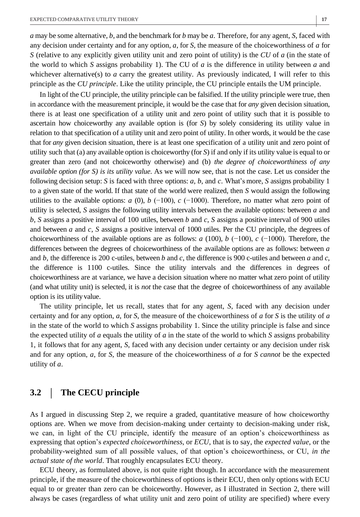**|**

*a* may be some alternative, *b*, and the benchmark for *b* may be *a*. Therefore, for any agent, *S*, faced with any decision under certainty and for any option, *a*, for *S*, the measure of the choiceworthiness of *a* for *S* (relative to any explicitly given utility unit and zero point of utility) is the *CU* of *a* (in the state of the world to which *S* assigns probability 1). The CU of *a* is the difference in utility between *a* and whichever alternative(s) to *a* carry the greatest utility. As previously indicated, I will refer to this principle as the *CU principle*. Like the utility principle, the CU principle entails the UM principle.

In light of the CU principle, the utility principle can be falsified. If the utility principle were true, then in accordance with the measurement principle, it would be the case that for *any* given decision situation, there is at least one specification of a utility unit and zero point of utility such that it is possible to ascertain how choiceworthy any available option is (for *S*) by solely considering its utility value in relation to that specification of a utility unit and zero point of utility. In other words, it would be the case that for *any* given decision situation, there is at least one specification of a utility unit and zero point of utility such that (a) any available option is choiceworthy (for *S*) if and only if its utility value is equal to or greater than zero (and not choiceworthy otherwise) and (b) *the degree of choiceworthiness of any available option (for S) is its utility value*. As we will now see, that is not the case. Let us consider the following decision setup: *S* is faced with three options: *a*, *b*, and *c*. What's more, *S* assigns probability 1 to a given state of the world. If that state of the world were realized, then *S* would assign the following utilities to the available options: *a* (0), *b*  $(-100)$ , *c*  $(-1000)$ . Therefore, no matter what zero point of utility is selected, *S* assigns the following utility intervals between the available options: between *a* and *b*, *S* assigns a positive interval of 100 utiles, between *b* and *c*, *S* assigns a positive interval of 900 utiles and between *a* and *c*, *S* assigns a positive interval of 1000 utiles. Per the CU principle, the degrees of choiceworthiness of the available options are as follows: *a* (100), *b* (−100), *c* (−1000). Therefore, the differences between the degrees of choiceworthiness of the available options are as follows: between *a*  and *b*, the difference is 200 c-utiles, between *b* and *c*, the difference is 900 c-utiles and between *a* and *c*, the difference is 1100 c-utiles. Since the utility intervals and the differences in degrees of choiceworthiness are at variance, we have a decision situation where no matter what zero point of utility (and what utility unit) is selected, it is *not* the case that the degree of choiceworthiness of any available option is its utility value.

The utility principle, let us recall, states that for any agent, *S*, faced with any decision under certainty and for any option, *a*, for *S*, the measure of the choiceworthiness of *a* for *S* is the utility of *a*  in the state of the world to which *S* assigns probability 1. Since the utility principle is false and since the expected utility of *a* equals the utility of *a* in the state of the world to which *S* assigns probability 1, it follows that for any agent, *S*, faced with any decision under certainty or any decision under risk and for any option, *a*, for *S*, the measure of the choiceworthiness of *a* for *S cannot* be the expected utility of *a*.

## **3.2** | **The CECU principle**

As I argued in discussing Step 2, we require a graded, quantitative measure of how choiceworthy options are. When we move from decision-making under certainty to decision-making under risk, we can, in light of the CU principle, identify the measure of an option's choiceworthiness as expressing that option's *expected choiceworthiness*, or *ECU*, that is to say, the *expected value*, or the probability-weighted sum of all possible values, of that option's choiceworthiness, or CU, *in the actual state of the world*. That roughly encapsulates ECU theory.

ECU theory, as formulated above, is not quite right though. In accordance with the measurement principle, if the measure of the choiceworthiness of options is their ECU, then only options with ECU equal to or greater than zero can be choiceworthy. However, as I illustrated in Section 2, there will always be cases (regardless of what utility unit and zero point of utility are specified) where every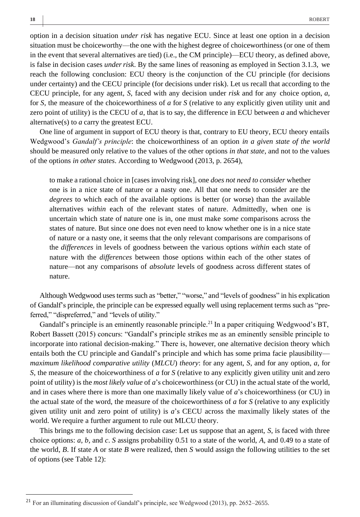option in a decision situation *under risk* has negative ECU. Since at least one option in a decision situation must be choiceworthy—the one with the highest degree of choiceworthiness (or one of them in the event that several alternatives are tied) (i.e., the CM principle)—ECU theory, as defined above, is false in decision cases *underrisk*. By the same lines of reasoning as employed in Section 3.1.3, we reach the following conclusion: ECU theory is the conjunction of the CU principle (for decisions under certainty) and the CECU principle (for decisions under risk). Let us recall that according to the CECU principle, for any agent, *S*, faced with any decision under *risk* and for any choice option, *a*, for *S*, the measure of the choiceworthiness of *a* for *S* (relative to any explicitly given utility unit and zero point of utility) is the CECU of *a*, that is to say, the difference in ECU between *a* and whichever alternative(s) to *a* carry the greatest ECU.

One line of argument in support of ECU theory is that, contrary to EU theory, ECU theory entails Wedgwood's *Gandalf's principle*: the choiceworthiness of an option *in a given state of the world*  should be measured only relative to the values of the other options *in that state*, and not to the values of the options *in other states*. According to Wedgwood (2013, p. 2654),

to make a rational choice in [cases involving risk], one *does not need to consider* whether one is in a nice state of nature or a nasty one. All that one needs to consider are the *degrees* to which each of the available options is better (or worse) than the available alternatives *within* each of the relevant states of nature. Admittedly, when one is uncertain which state of nature one is in, one must make *some* comparisons across the states of nature. But since one does not even need to know whether one is in a nice state of nature or a nasty one, it seems that the only relevant comparisons are comparisons of the *differences* in levels of goodness between the various options *within* each state of nature with the *differences* between those options within each of the other states of nature—not any comparisons of *absolute* levels of goodness across different states of nature.

Although Wedgwood usesterms such as "better," "worse," and "levels of goodness" in his explication of Gandalf's principle, the principle can be expressed equally well using replacement terms such as "preferred," "dispreferred," and "levels of utility."

Gandalf's principle is an eminently reasonable principle.<sup>21</sup> In a paper critiquing Wedgwood's BT, Robert Bassett (2015) concurs: "Gandalf's principle strikes me as an eminently sensible principle to incorporate into rational decision-making." There is, however, one alternative decision theory which entails both the CU principle and Gandalf's principle and which has some prima facie plausibility *maximum likelihood comparative utility* (*MLCU*) *theory*: for any agent, *S*, and for any option, *a*, for *S*, the measure of the choiceworthiness of *a* for *S* (relative to any explicitly given utility unit and zero point of utility) is the *most likely value* of *a*'s choiceworthiness (or CU) in the actual state of the world, and in cases where there is more than one maximally likely value of *a*'s choiceworthiness (or CU) in the actual state of the word, the measure of the choiceworthiness of *a* for *S* (relative to any explicitly given utility unit and zero point of utility) is *a*'s CECU across the maximally likely states of the world. We require a further argument to rule out MLCU theory.

This brings me to the following decision case: Let us suppose that an agent, *S*, is faced with three choice options: *a*, *b*, and *c*. *S* assigns probability 0.51 to a state of the world, *A*, and 0.49 to a state of the world, *B*. If state *A* or state *B* were realized, then *S* would assign the following utilities to the set of options (see Table 12):

<sup>21</sup> For an illuminating discussion of Gandalf's principle, see Wedgwood (2013), pp. 2652–2655.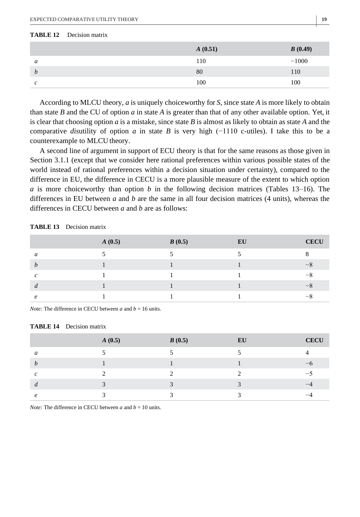#### **TABLE 12** Decision matrix

|                  | A(0.51) | B(0.49) |
|------------------|---------|---------|
| a                | 110     | $-1000$ |
| $\boldsymbol{b}$ | 80      | 110     |
| c                | 100     | 100     |

According to MLCU theory, *a* is uniquely choiceworthy for *S*, since state *A* is more likely to obtain than state *B* and the CU of option *a* in state *A* is greater than that of any other available option. Yet, it is clear that choosing option *a* is a mistake, since state *B* is almost as likely to obtain as state *A* and the comparative *dis*utility of option *a* in state *B* is very high (−1110 c-utiles). I take this to be a counterexample to MLCU theory.

A second line of argument in support of ECU theory is that for the same reasons as those given in Section 3.1.1 (except that we consider here rational preferences within various possible states of the world instead of rational preferences within a decision situation under certainty), compared to the difference in EU, the difference in CECU is a more plausible measure of the extent to which option *a* is more choiceworthy than option *b* in the following decision matrices (Tables 13–16). The differences in EU between *a* and *b* are the same in all four decision matrices (4 units), whereas the differences in CECU between *a* and *b* are as follows:

|               | A(0.5) | B(0.5) | EU | <b>CECU</b>   |
|---------------|--------|--------|----|---------------|
| a             |        |        |    |               |
| h             |        |        |    | $\rightarrow$ |
| $\mathcal{C}$ |        |        |    | $-8$          |
| d             |        |        |    | $\rightarrow$ |
| $\epsilon$    |        |        |    |               |

**TABLE 13** Decision matrix

*Note:* The difference in CECU between *a* and  $b = 16$  units.

#### **TABLE 14** Decision matrix

|                     | A(0.5) | B(0.5) | EU | <b>CECU</b> |
|---------------------|--------|--------|----|-------------|
| a                   |        |        |    |             |
| $\boldsymbol{b}$    |        |        |    |             |
| $\mathcal{C}$       | ◠      | ◠      | ◠  | –∼          |
| d                   |        |        |    |             |
| $\boldsymbol{\rho}$ |        |        |    |             |

*Note:* The difference in CECU between *a* and  $b = 10$  units.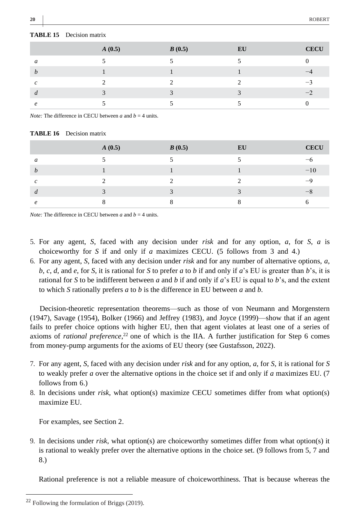|   | A(0.5) | B(0.5) | EU | <b>CECU</b> |
|---|--------|--------|----|-------------|
| a |        |        |    |             |
| h |        |        |    |             |
| C |        |        |    |             |
| a |        |        |    |             |
|   |        |        |    |             |

#### **TABLE 15** Decision matrix

*Note:* The difference in CECU between *a* and  $b = 4$  units.

#### **TABLE 16** Decision matrix

|                  | A(0.5) | B(0.5) | EU | <b>CECU</b>   |
|------------------|--------|--------|----|---------------|
| a                |        |        |    |               |
| $\boldsymbol{b}$ |        |        |    | $-10$         |
| $\mathcal{C}$    |        |        |    | $-\mathbf{Q}$ |
| d                |        |        |    | —:            |
| P                |        |        |    |               |

*Note:* The difference in CECU between *a* and  $b = 4$  units.

- 5. For any agent, *S*, faced with any decision under *risk* and for any option, *a*, for *S*, *a* is choiceworthy for *S* if and only if *a* maximizes CECU. (5 follows from 3 and 4.)
- 6. For any agent, *S*, faced with any decision under *risk* and for any number of alternative options, *a*, *b*, *c*, *d*, and *e*, for *S*, it is rational for *S* to prefer *a* to *b* if and only if *a*'s EU is greater than *b*'s, it is rational for *S* to be indifferent between *a* and *b* if and only if *a*'s EU is equal to *b*'s, and the extent to which *S* rationally prefers *a* to *b* is the difference in EU between *a* and *b*.

Decision-theoretic representation theorems—such as those of von Neumann and Morgenstern (1947), Savage (1954), Bolker (1966) and Jeffrey (1983), and Joyce (1999)—show that if an agent fails to prefer choice options with higher EU, then that agent violates at least one of a series of axioms of *rational preference*,<sup>22</sup> one of which is the IIA. A further justification for Step 6 comes from money-pump arguments for the axioms of EU theory (see Gustafsson, 2022).

- 7. For any agent, *S*, faced with any decision under *risk* and for any option, *a*, for *S*, it is rational for *S*  to weakly prefer *a* over the alternative options in the choice set if and only if *a* maximizes EU. (7 follows from 6.)
- 8. In decisions under *risk*, what option(s) maximize CECU sometimes differ from what option(s) maximize EU.

For examples, see Section 2.

9. In decisions under *risk*, what option(s) are choiceworthy sometimes differ from what option(s) it is rational to weakly prefer over the alternative options in the choice set. (9 follows from 5, 7 and 8.)

Rational preference is not a reliable measure of choiceworthiness. That is because whereas the

<sup>22</sup> Following the formulation of Briggs (2019).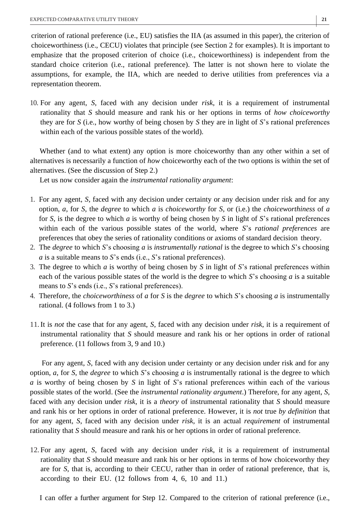criterion of rational preference (i.e., EU) satisfies the IIA (as assumed in this paper), the criterion of choiceworthiness (i.e., CECU) violates that principle (see Section 2 for examples). It is important to emphasize that the proposed criterion of choice (i.e., choiceworthiness) is independent from the standard choice criterion (i.e., rational preference). The latter is not shown here to violate the assumptions, for example, the IIA, which are needed to derive utilities from preferences via a representation theorem.

10. For any agent, *S*, faced with any decision under *risk*, it is a requirement of instrumental rationality that *S* should measure and rank his or her options in terms of *how choiceworthy* they are for *S* (i.e., how worthy of being chosen by *S* they are in light of *S*'s rational preferences within each of the various possible states of the world).

Whether (and to what extent) any option is more choiceworthy than any other within a set of alternatives is necessarily a function of *how* choiceworthy each of the two options is within the set of alternatives. (See the discussion of Step 2.)

Let us now consider again the *instrumental rationality argument*:

- 1. For any agent, *S*, faced with any decision under certainty or any decision under risk and for any option, *a*, for *S*, the *degree* to which *a* is *choiceworthy* for *S*, or (i.e.) the *choiceworthiness* of *a*  for *S*, is the degree to which *a* is worthy of being chosen by *S* in light of *S*'s rational preferences within each of the various possible states of the world, where *S*'s *rational preferences* are preferences that obey the series of rationality conditions or axioms of standard decision theory.
- 2. The *degree* to which *S*'s choosing *a* is *instrumentally rational* is the degree to which *S*'s choosing *a* is a suitable means to *S*'s ends (i.e., *S*'s rational preferences).
- 3. The degree to which *a* is worthy of being chosen by *S* in light of *S*'s rational preferences within each of the various possible states of the world is the degree to which *S*'s choosing *a* is a suitable means to *S*'s ends (i.e., *S*'s rational preferences).
- 4. Therefore, the *choiceworthiness* of *a* for *S* is the *degree* to which *S*'s choosing *a* is instrumentally rational. (4 follows from 1 to 3.)
- 11.It is *not* the case that for any agent, *S*, faced with any decision under *risk*, it is a requirement of instrumental rationality that *S* should measure and rank his or her options in order of rational preference. (11 follows from 3, 9 and 10.)

For any agent, *S*, faced with any decision under certainty or any decision under risk and for any option, *a*, for *S*, the *degree* to which *S*'s choosing *a* is instrumentally rational is the degree to which *a* is worthy of being chosen by *S* in light of *S*'s rational preferences within each of the various possible states of the world. (See the *instrumental rationality argument*.) Therefore, for any agent, *S*, faced with any decision under *risk*, it is a *theory* of instrumental rationality that *S* should measure and rank his or her options in order of rational preference. However, it is *not* true *by definition* that for any agent, *S*, faced with any decision under *risk*, it is an actual *requirement* of instrumental rationality that *S* should measure and rank his or her options in order of rational preference.

12. For any agent, *S*, faced with any decision under *risk*, it is a requirement of instrumental rationality that *S* should measure and rank his or her options in terms of how choiceworthy they are for *S*, that is, according to their CECU, rather than in order of rational preference, that is, according to their EU. (12 follows from 4, 6, 10 and 11.)

I can offer a further argument for Step 12. Compared to the criterion of rational preference (i.e.,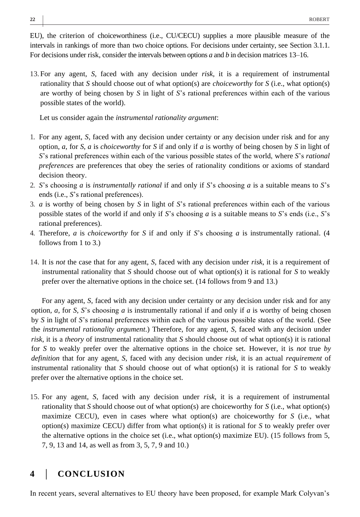EU), the criterion of choiceworthiness (i.e., CU/CECU) supplies a more plausible measure of the intervals in rankings of more than two choice options. For decisions under certainty, see Section 3.1.1. For decisions under risk, consider the intervals between options *a* and *b* in decision matrices 13–16.

13. For any agent, *S*, faced with any decision under *risk*, it is a requirement of instrumental rationality that *S* should choose out of what option(s) are *choiceworthy* for *S* (i.e., what option(s) are worthy of being chosen by *S* in light of *S*'s rational preferences within each of the various possible states of the world).

Let us consider again the *instrumental rationality argument*:

- 1. For any agent, *S*, faced with any decision under certainty or any decision under risk and for any option, *a*, for *S*, *a* is *choiceworthy* for *S* if and only if *a* is worthy of being chosen by *S* in light of *S*'s rational preferences within each of the various possible states of the world, where *S*'s *rational preferences* are preferences that obey the series of rationality conditions or axioms of standard decision theory.
- 2. *S*'s choosing *a* is *instrumentally rational* if and only if *S*'s choosing *a* is a suitable means to *S*'s ends (i.e., *S*'s rational preferences).
- 3. *a* is worthy of being chosen by *S* in light of *S*'s rational preferences within each of the various possible states of the world if and only if *S*'s choosing *a* is a suitable means to *S*'s ends (i.e., *S*'s rational preferences).
- 4. Therefore, *a* is *choiceworthy* for *S* if and only if *S*'s choosing *a* is instrumentally rational. (4 follows from 1 to 3.)
- 14. It is *not* the case that for any agent, *S*, faced with any decision under *risk*, it is a requirement of instrumental rationality that *S* should choose out of what option(s) it is rational for *S* to weakly prefer over the alternative options in the choice set. (14 follows from 9 and 13.)

For any agent, *S*, faced with any decision under certainty or any decision under risk and for any option,  $a$ , for *S*, *S*'s choosing  $a$  is instrumentally rational if and only if  $a$  is worthy of being chosen by *S* in light of *S*'s rational preferences within each of the various possible states of the world. (See the *instrumental rationality argument*.) Therefore, for any agent, *S*, faced with any decision under *risk*, it is a *theory* of instrumental rationality that *S* should choose out of what option(s) it is rational for *S* to weakly prefer over the alternative options in the choice set. However, it is *not* true *by definition* that for any agent, *S*, faced with any decision under *risk*, it is an actual *requirement* of instrumental rationality that *S* should choose out of what option(s) it is rational for *S* to weakly prefer over the alternative options in the choice set.

15. For any agent, *S*, faced with any decision under *risk*, it is a requirement of instrumental rationality that *S* should choose out of what option(s) are choiceworthy for *S* (i.e., what option(s) maximize CECU), even in cases where what option(s) are choiceworthy for *S* (i.e., what option(s) maximize CECU) differ from what option(s) it is rational for *S* to weakly prefer over the alternative options in the choice set (i.e., what option(s) maximize EU). (15 follows from 5, 7, 9, 13 and 14, as well as from 3, 5, 7, 9 and 10.)

# **4** | **CONCLUSION**

In recent years, several alternatives to EU theory have been proposed, for example Mark Colyvan's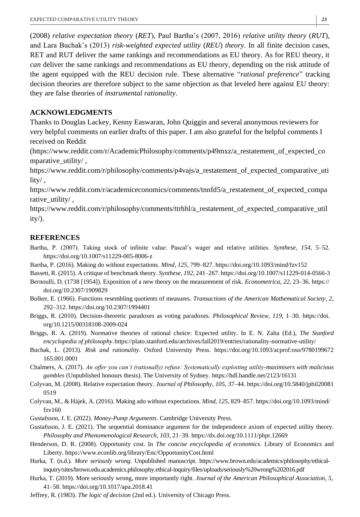(2008) *relative expectation theory* (*RET*), Paul Bartha's (2007, 2016) *relative utility theory* (*RUT*), and Lara Buchak's (2013) *risk-weighted expected utility* (*REU*) *theory*. In all finite decision cases, RET and RUT deliver the same rankings and recommendations as EU theory. As for REU theory, it *can* deliver the same rankings and recommendations as EU theory, depending on the risk attitude of the agent equipped with the REU decision rule. These alternative "*rational preference*" tracking decision theories are therefore subject to the same objection as that leveled here against EU theory: they are false theories of *instrumental rationality*.

## **ACKNOWLEDGMENTS**

Thanks to Douglas Lackey, Kenny Easwaran, John Quiggin and several anonymous reviewers for very helpful comments on earlier drafts of this paper. I am also grateful for the helpful comments I received on Reddit

[\(https://www.reddit.com/r/AcademicPhilosophy/comments/p49mxz/a\\_restatement\\_of\\_expected\\_co](https://www.reddit.com/r/AcademicPhilosophy/comments/p49mxz/a_restatement_of_expected_comparative_utility/) mparative utility/,

[https://www.reddit.com/r/philosophy/comments/p4vajs/a\\_restatement\\_of\\_expected\\_comparative\\_uti](https://www.reddit.com/r/philosophy/comments/p4vajs/a_restatement_of_expected_comparative_utility/) [lity/](https://www.reddit.com/r/philosophy/comments/p4vajs/a_restatement_of_expected_comparative_utility/) ,

[https://www.reddit.com/r/academiceconomics/comments/tnnfd5/a\\_restatement\\_of\\_expected\\_compa](https://www.reddit.com/r/academiceconomics/comments/tnnfd5/a_restatement_of_expected_comparative_utility/) [rative\\_utility/](https://www.reddit.com/r/academiceconomics/comments/tnnfd5/a_restatement_of_expected_comparative_utility/),

[https://www.reddit.com/r/philosophy/comments/ttrhhl/a\\_restatement\\_of\\_expected\\_comparative\\_util](https://www.reddit.com/r/philosophy/comments/ttrhhl/a_restatement_of_expected_comparative_utility/)  $ity/$ ).

## **REFERENCES**

- Bartha, P. (2007). Taking stock of infinite value: Pascal's wager and relative utilities. *Synthese*, *154*, 5–52. https://do[i.org/10.1007/s11229-005-8006-z](https://doi.org/10.1007/s11229-005-8006-z)
- Bartha, P. (2016). Making do without expectations. *Mind*, *125*, 799–827[. https://doi.org/10.1093/mind/fzv152](https://doi.org/10.1093/mind/fzv152)
- Bassett, R. (2015). A critique of benchmark theory. *Synthese*, *192*, 241–267. <https://doi.org/10.1007/s11229-014-0566-3>
- Bernoulli, D. (1738 [1954]). Exposition of a new theory on the measurement of risk. *Econometrica*, *22*, 23–36. [https://](https://doi.org/10.2307/1909829) [doi.org/10.2307/1909829](https://doi.org/10.2307/1909829)
- Bolker, E. (1966). Functions resembling quotients of measures. *Transactions of the American Mathematical Society*, *2*, 292–312[. https://doi.org/10.2307/1994401](https://doi.org/10.2307/1994401)
- Briggs, R. (2010). Decision-theoretic paradoxes as voting paradoxes. *Philosophical Review*, *119*, 1–30. [https://doi.](https://doi.org/10.1215/00318108-2009-024) [org/10.1215/00318108-2009-024](https://doi.org/10.1215/00318108-2009-024)
- Briggs, R. A. (2019). Normative theories of rational choice: Expected utility. In E. N. Zalta (Ed.), *The Stanford encyclopedia of philosophy*[.https://plato.stanford.edu/archives/fall2019/entries/rationality-normative-utility/](https://plato.stanford.edu/archives/fall2019/entries/rationality-normative-utility/)
- Buchak, L. (2013). *Risk and rationality*. Oxford University Press. https://doi.org/10.1093/acprof:oso/9780199672 165.001.0001
- Chalmers, A. (2017). *An offer you can't (rationally) refuse: Systematically exploiting utility-maximisers with malicious gambles* (Unpublished honours thesis). The University of Sydney[. https://hdl.handle.net/2123/16131](https://hdl.handle.net/2123/16131)
- Colyvan, M. (2008). Relative expectation theory. *Journal of Philosophy*, *105*, 37–44. [https://doi.org/10.5840/jphil20081](https://doi.org/10.5840/jphil200810519) [0519](https://doi.org/10.5840/jphil200810519)
- Colyvan, M., & Hájek, A. (2016). Making ado without expectations. *Mind*, *125*, 829–857. [https://doi.org/10.1093/mind/](https://doi.org/10.1093/mind/fzv160) [fzv160](https://doi.org/10.1093/mind/fzv160)
- Gustafsson, J. E. (2022). *Money-Pump Arguments*. Cambridge University Press.
- Gustafsson, J. E. (2021). The sequential dominance argument for the independence axiom of expected utility theory. *Philosophy and Phenomenological Research*, *103*, 21–39. https://dx.doi.org/10.1111/phpr.12669
- Henderson, D. R. (2008). Opportunity cost. In *The concise encyclopedia of economics*. Library of Economics and Libert[y. https://www.econlib.org/library/Enc/OpportunityCost.html](https://www.econlib.org/library/Enc/OpportunityCost.html)
- Hurka, T. (n.d.). *More seriously wrong*. Unpublished manuscript. [https://www.brown.edu/academics/philosophy/ethical](https://www.brown.edu/academics/philosophy/ethical-inquiry/sites/brown.edu.academics.philosophy.ethical-inquiry/files/uploads/seriously%20wrong%202016.pdf)[inquiry/sites/brown.edu.academics.philosophy.ethical-inquiry/files/uploads/seriously%20wrong%202016.pdf](https://www.brown.edu/academics/philosophy/ethical-inquiry/sites/brown.edu.academics.philosophy.ethical-inquiry/files/uploads/seriously%20wrong%202016.pdf)
- Hurka, T. (2019). More seriously wrong, more importantly right. *Journal of the American Philosophical Association*, *5*, 41–58[. https://doi.org/10.1017/apa.2018.41](https://doi.org/10.1017/apa.2018.41)
- Jeffrey, R. (1983). *The logic of decision* (2nd ed.). University of Chicago Press.